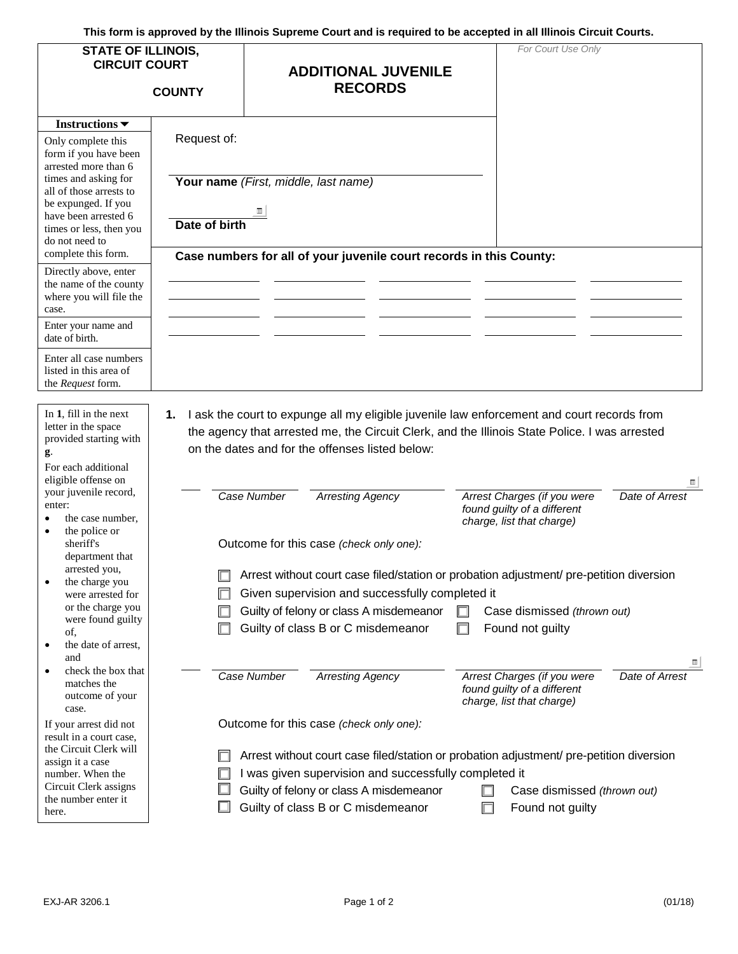**This form is approved by the Illinois Supreme Court and is required to be accepted in all Illinois Circuit Courts.**

| <b>STATE OF ILLINOIS,</b><br><b>CIRCUIT COURT</b><br><b>COUNTY</b>                                                                                                                         |                                                                                                                                                                                                                                                                                      | <b>ADDITIONAL JUVENILE</b><br><b>RECORDS</b>                                                                                     | For Court Use Only                                                                                                                         |  |  |  |
|--------------------------------------------------------------------------------------------------------------------------------------------------------------------------------------------|--------------------------------------------------------------------------------------------------------------------------------------------------------------------------------------------------------------------------------------------------------------------------------------|----------------------------------------------------------------------------------------------------------------------------------|--------------------------------------------------------------------------------------------------------------------------------------------|--|--|--|
| Instructions $\blacktriangledown$<br>Only complete this<br>form if you have been                                                                                                           | Request of:                                                                                                                                                                                                                                                                          |                                                                                                                                  |                                                                                                                                            |  |  |  |
| arrested more than 6<br>times and asking for<br>all of those arrests to<br>be expunged. If you<br>have been arrested 6<br>times or less, then you<br>do not need to<br>complete this form. | Date of birth                                                                                                                                                                                                                                                                        | Your name (First, middle, last name)<br>⊞<br>Case numbers for all of your juvenile court records in this County:                 |                                                                                                                                            |  |  |  |
| Directly above, enter<br>the name of the county<br>where you will file the<br>case.                                                                                                        |                                                                                                                                                                                                                                                                                      |                                                                                                                                  |                                                                                                                                            |  |  |  |
| Enter your name and<br>date of birth.                                                                                                                                                      |                                                                                                                                                                                                                                                                                      |                                                                                                                                  |                                                                                                                                            |  |  |  |
| Enter all case numbers<br>listed in this area of<br>the Request form.                                                                                                                      |                                                                                                                                                                                                                                                                                      |                                                                                                                                  |                                                                                                                                            |  |  |  |
| In $1$ , fill in the next<br>letter in the space<br>provided starting with<br>g.<br>For each additional<br>eligible offense on<br>your juvenile record,                                    | 1. I ask the court to expunge all my eligible juvenile law enforcement and court records from<br>the agency that arrested me, the Circuit Clerk, and the Illinois State Police. I was arrested<br>on the dates and for the offenses listed below:<br>⊞.                              |                                                                                                                                  |                                                                                                                                            |  |  |  |
| enter:<br>the case number,<br>the police or                                                                                                                                                |                                                                                                                                                                                                                                                                                      | Case Number<br><b>Arresting Agency</b>                                                                                           | Arrest Charges (if you were<br>Date of Arrest<br>found guilty of a different<br>charge, list that charge)                                  |  |  |  |
| sheriff's<br>department that<br>arrested you,                                                                                                                                              |                                                                                                                                                                                                                                                                                      | Outcome for this case (check only one):                                                                                          |                                                                                                                                            |  |  |  |
| the charge you<br>were arrested for<br>or the charge you<br>were found guilty<br>of,<br>the date of arrest,                                                                                |                                                                                                                                                                                                                                                                                      | Given supervision and successfully completed it<br>Guilty of felony or class A misdemeanor<br>Guilty of class B or C misdemeanor | Arrest without court case filed/station or probation adjustment/ pre-petition diversion<br>Case dismissed (thrown out)<br>Found not guilty |  |  |  |
| and<br>check the box that<br>matches the<br>outcome of your<br>case.                                                                                                                       |                                                                                                                                                                                                                                                                                      | Case Number<br><b>Arresting Agency</b>                                                                                           | Arrest Charges (if you were<br>Date of Arrest<br>found guilty of a different<br>charge, list that charge)                                  |  |  |  |
| If your arrest did not<br>result in a court case,                                                                                                                                          | Outcome for this case (check only one):                                                                                                                                                                                                                                              |                                                                                                                                  |                                                                                                                                            |  |  |  |
| the Circuit Clerk will<br>assign it a case<br>number. When the<br>Circuit Clerk assigns<br>the number enter it<br>here.                                                                    | Arrest without court case filed/station or probation adjustment/ pre-petition diversion<br>I was given supervision and successfully completed it<br>Guilty of felony or class A misdemeanor<br>Case dismissed (thrown out)<br>Guilty of class B or C misdemeanor<br>Found not guilty |                                                                                                                                  |                                                                                                                                            |  |  |  |